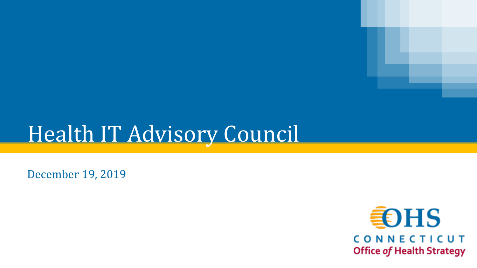# Health IT Advisory Council

December 19, 2019

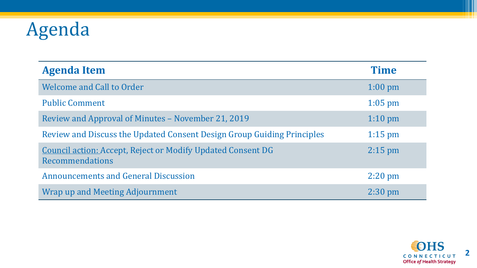## Agenda

| <b>Agenda Item</b>                                                                    | <b>Time</b>       |
|---------------------------------------------------------------------------------------|-------------------|
| <b>Welcome and Call to Order</b>                                                      | $1:00 \text{ pm}$ |
| <b>Public Comment</b>                                                                 | $1:05$ pm         |
| Review and Approval of Minutes – November 21, 2019                                    | $1:10 \text{ pm}$ |
| Review and Discuss the Updated Consent Design Group Guiding Principles                | $1:15$ pm         |
| <b>Council action: Accept, Reject or Modify Updated Consent DG</b><br>Recommendations | $2:15$ pm         |
| <b>Announcements and General Discussion</b>                                           | $2:20 \text{ pm}$ |
| Wrap up and Meeting Adjournment                                                       | $2:30 \text{ pm}$ |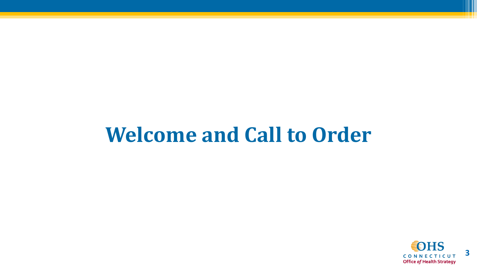## **Welcome and Call to Order**

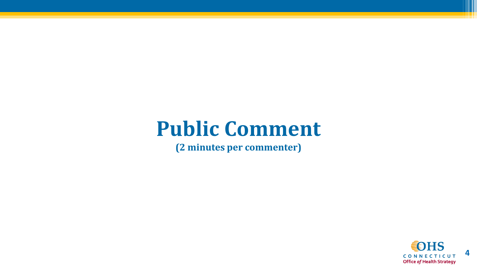#### **Public Comment**

**(2 minutes per commenter)**

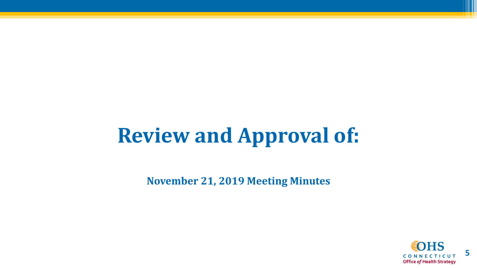# **Review and Approval of:**

**November 21, 2019 Meeting Minutes**

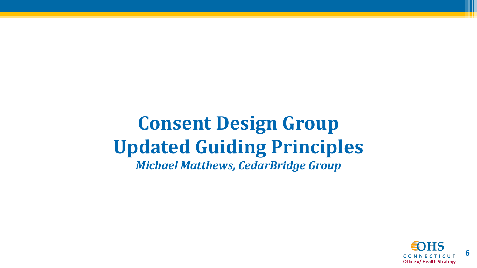#### **Consent Design Group Updated Guiding Principles** *Michael Matthews, CedarBridge Group*

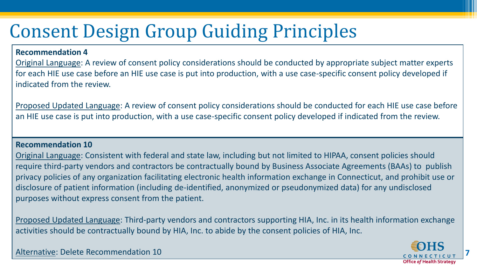#### **Recommendation 4**

Original Language: A review of consent policy considerations should be conducted by appropriate subject matter experts for each HIE use case before an HIE use case is put into production, with a use case-specific consent policy developed if indicated from the review.

Proposed Updated Language: A review of consent policy considerations should be conducted for each HIE use case before an HIE use case is put into production, with a use case-specific consent policy developed if indicated from the review.

#### **Recommendation 10**

Original Language: Consistent with federal and state law, including but not limited to HIPAA, consent policies should require third-party vendors and contractors be contractually bound by Business Associate Agreements (BAAs) to publish privacy policies of any organization facilitating electronic health information exchange in Connecticut, and prohibit use or disclosure of patient information (including de-identified, anonymized or pseudonymized data) for any undisclosed purposes without express consent from the patient.

Proposed Updated Language: Third-party vendors and contractors supporting HIA, Inc. in its health information exchange activities should be contractually bound by HIA, Inc. to abide by the consent policies of HIA, Inc.

Alternative: Delete Recommendation 10



**7**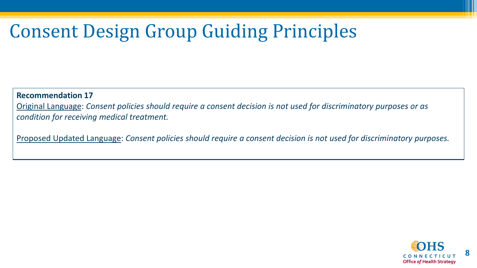**Recommendation 17**

Original Language: *Consent policies should require a consent decision is not used for discriminatory purposes or as condition for receiving medical treatment.*

Proposed Updated Language: *Consent policies should require a consent decision is not used for discriminatory purposes.*

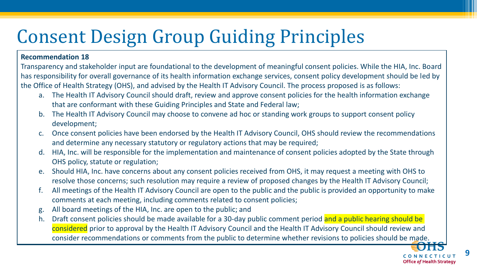#### **Recommendation 18**

Transparency and stakeholder input are foundational to the development of meaningful consent policies. While the HIA, Inc. Board has responsibility for overall governance of its health information exchange services, consent policy development should be led by the Office of Health Strategy (OHS), and advised by the Health IT Advisory Council. The process proposed is as follows:

- a. The Health IT Advisory Council should draft, review and approve consent policies for the health information exchange that are conformant with these Guiding Principles and State and Federal law;
- b. The Health IT Advisory Council may choose to convene ad hoc or standing work groups to support consent policy development;
- c. Once consent policies have been endorsed by the Health IT Advisory Council, OHS should review the recommendations and determine any necessary statutory or regulatory actions that may be required;
- HIA, Inc. will be responsible for the implementation and maintenance of consent policies adopted by the State through OHS policy, statute or regulation;
- e. Should HIA, Inc. have concerns about any consent policies received from OHS, it may request a meeting with OHS to resolve those concerns; such resolution may require a review of proposed changes by the Health IT Advisory Council;
- f. All meetings of the Health IT Advisory Council are open to the public and the public is provided an opportunity to make comments at each meeting, including comments related to consent policies;
- g. All board meetings of the HIA, Inc. are open to the public; and
- h. Draft consent policies should be made available for a 30-day public comment period and a public hearing should be considered prior to approval by the Health IT Advisory Council and the Health IT Advisory Council should review and consider recommendations or comments from the public to determine whether revisions to policies should be made.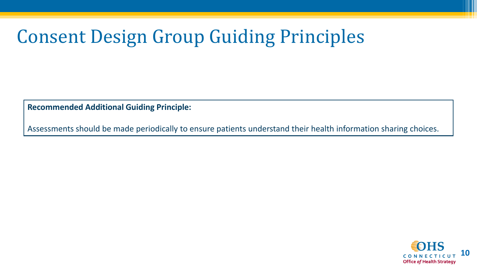**Recommended Additional Guiding Principle:**

Assessments should be made periodically to ensure patients understand their health information sharing choices.

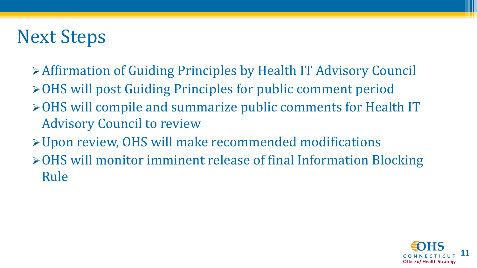### Next Steps

- ➢Affirmation of Guiding Principles by Health IT Advisory Council
- ➢OHS will post Guiding Principles for public comment period
- ➢OHS will compile and summarize public comments for Health IT Advisory Council to review
- ➢Upon review, OHS will make recommended modifications
- ➢OHS will monitor imminent release of final Information Blocking Rule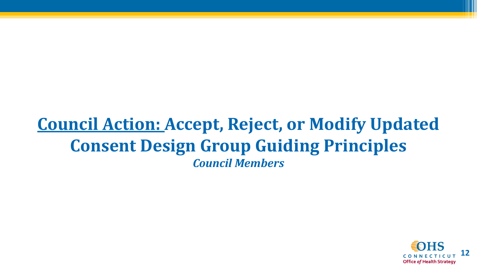#### **Council Action: Accept, Reject, or Modify Updated Consent Design Group Guiding Principles** *Council Members*

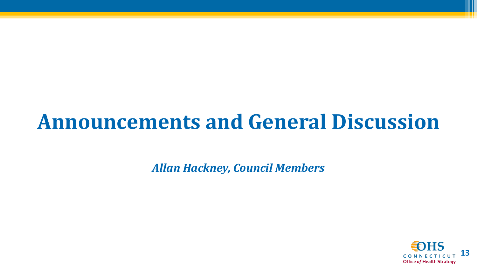## **Announcements and General Discussion**

*Allan Hackney, Council Members*

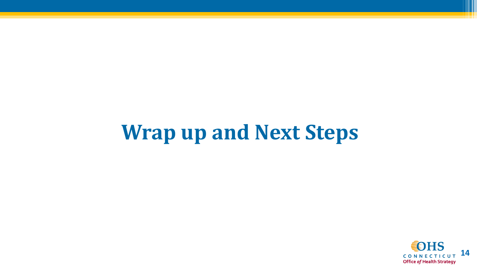# **Wrap up and Next Steps**